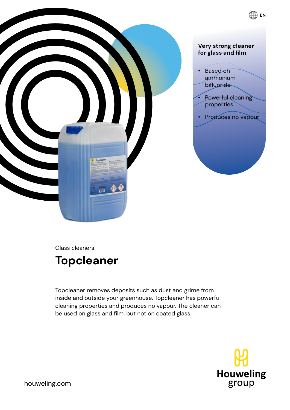

Glass cleaners

# **Topcleaner**

Topcleaner removes deposits such as dust and grime from inside and outside your greenhouse. Topcleaner has powerful cleaning properties and produces no vapour. The cleaner can be used on glass and film, but not on coated glass.